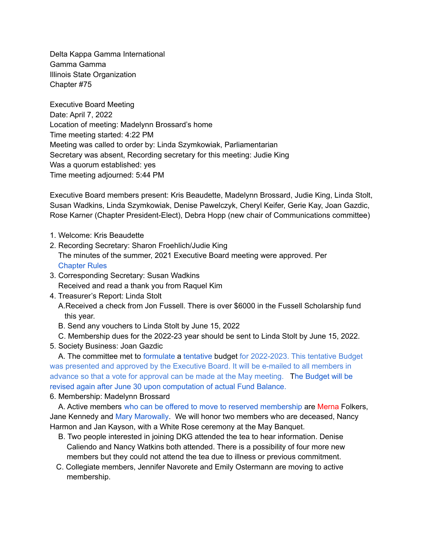Delta Kappa Gamma International Gamma Gamma Illinois State Organization Chapter #75

Executive Board Meeting Date: April 7, 2022 Location of meeting: Madelynn Brossard's home Time meeting started: 4:22 PM Meeting was called to order by: Linda Szymkowiak, Parliamentarian Secretary was absent, Recording secretary for this meeting: Judie King Was a quorum established: yes Time meeting adjourned: 5:44 PM

Executive Board members present: Kris Beaudette, Madelynn Brossard, Judie King, Linda Stolt, Susan Wadkins, Linda Szymkowiak, Denise Pawelczyk, Cheryl Keifer, Gerie Kay, Joan Gazdic, Rose Karner (Chapter President-Elect), Debra Hopp (new chair of Communications committee)

- 1. Welcome: Kris Beaudette
- 2. Recording Secretary: Sharon Froehlich/Judie King The minutes of the summer, 2021 Executive Board meeting were approved. Per Chapter Rules
- 3. Corresponding Secretary: Susan Wadkins Received and read a thank you from Raquel Kim
- 4. Treasurer's Report: Linda Stolt

A.Received a check from Jon Fussell. There is over \$6000 in the Fussell Scholarship fund this year.

- B. Send any vouchers to Linda Stolt by June 15, 2022
- C. Membership dues for the 2022-23 year should be sent to Linda Stolt by June 15, 2022.
- 5. Society Business: Joan Gazdic

A. The committee met to formulate a tentative budget for 2022-2023. This tentative Budget was presented and approved by the Executive Board. It will be e-mailed to all members in advance so that a vote for approval can be made at the May meeting. The Budget will be revised again after June 30 upon computation of actual Fund Balance.

## 6. Membership: Madelynn Brossard

A. Active members who can be offered to move to reserved membership are Merna Folkers, Jane Kennedy and Mary Marowally. We will honor two members who are deceased, Nancy Harmon and Jan Kayson, with a White Rose ceremony at the May Banquet.

- B. Two people interested in joining DKG attended the tea to hear information. Denise Caliendo and Nancy Watkins both attended. There is a possibility of four more new members but they could not attend the tea due to illness or previous commitment.
- C. Collegiate members, Jennifer Navorete and Emily Ostermann are moving to active membership.